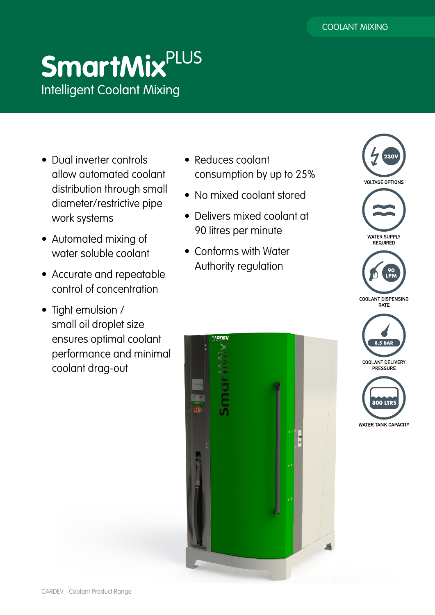# **SmartMix**PLUS Intelligent Coolant Mixing

- Dual inverter controls allow automated coolant distribution through small diameter/restrictive pipe work systems
- Automated mixing of water soluble coolant
- Accurate and repeatable control of concentration
- Tight emulsion / small oil droplet size ensures optimal coolant performance and minimal coolant drag-out
- Reduces coolant consumption by up to 25%
- No mixed coolant stored
- Delivers mixed coolant at 90 litres per minute
- Conforms with Water Authority regulation





**COOLANT DISPENSING RATE** 

**WATER TANK CAPACITY**